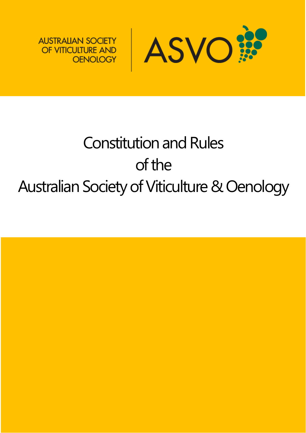

**AUSTRALIAN SOCIETY** OF VITICULTURE AND **OENOLOGY** 

# Constitution and Rules of the Australian Society of Viticulture & Oenology

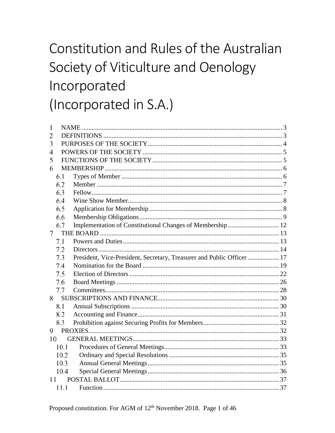## Constitution and Rules of the Australian Society of Viticulture and Oenology Incorporated (Incorporated in S.A.)

| 1    |      |                                                                        |  |  |
|------|------|------------------------------------------------------------------------|--|--|
| 2    |      |                                                                        |  |  |
| 3    |      |                                                                        |  |  |
| 4    |      |                                                                        |  |  |
| 5    |      |                                                                        |  |  |
| 6    |      |                                                                        |  |  |
|      | 6.1  |                                                                        |  |  |
|      | 6.2  |                                                                        |  |  |
|      | 6.3  |                                                                        |  |  |
|      | 6.4  |                                                                        |  |  |
|      | 6.5  |                                                                        |  |  |
|      | 6.6  |                                                                        |  |  |
|      | 6.7  |                                                                        |  |  |
| 7    |      |                                                                        |  |  |
|      | 7.1  |                                                                        |  |  |
|      | 7.2  |                                                                        |  |  |
|      | 7.3  | President, Vice-President, Secretary, Treasurer and Public Officer  17 |  |  |
|      | 7.4  |                                                                        |  |  |
|      | 7.5  |                                                                        |  |  |
|      | 7.6  |                                                                        |  |  |
|      | 7.7  |                                                                        |  |  |
| 8    |      |                                                                        |  |  |
|      | 8.1  |                                                                        |  |  |
|      | 8.2  |                                                                        |  |  |
|      | 8.3  |                                                                        |  |  |
| 9    |      |                                                                        |  |  |
| 10   |      |                                                                        |  |  |
|      | 10.1 |                                                                        |  |  |
|      | 10.2 |                                                                        |  |  |
| 10.3 |      |                                                                        |  |  |
| 10.4 |      |                                                                        |  |  |
| 11   |      |                                                                        |  |  |
|      | 11.1 |                                                                        |  |  |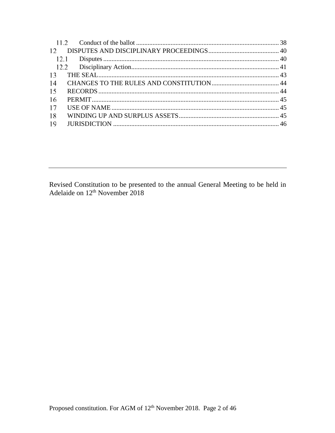| 12 <sup>°</sup> |  |
|-----------------|--|
|                 |  |
|                 |  |
| 13              |  |
| 14              |  |
| 15              |  |
| 16              |  |
| 17              |  |
| 18              |  |
| 19              |  |
|                 |  |

Revised Constitution to be presented to the annual General Meeting to be held in Adelaide on  $12<sup>th</sup>$  November 2018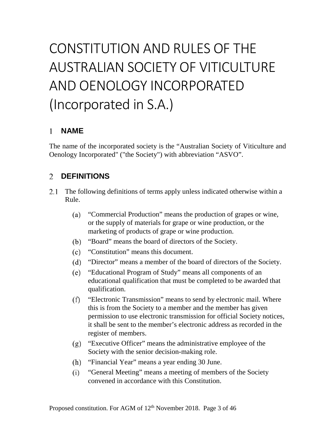## CONSTITUTION AND RULES OF THE AUSTRALIAN SOCIETY OF VITICULTURE AND OENOLOGY INCORPORATED (Incorporated in S.A.)

#### <span id="page-3-0"></span>**NAME**   $1$

The name of the incorporated society is the "Australian Society of Viticulture and Oenology Incorporated" ("the Society") with abbreviation "ASVO".

#### <span id="page-3-1"></span>**DEFINITIONS**   $\overline{2}$

- $2.1$ The following definitions of terms apply unless indicated otherwise within a Rule.
	- "Commercial Production" means the production of grapes or wine,  $(a)$ or the supply of materials for grape or wine production, or the marketing of products of grape or wine production.
	- (b) "Board" means the board of directors of the Society.
	- $(c)$ "Constitution" means this document.
	- $(d)$ "Director" means a member of the board of directors of the Society.
	- $(e)$ "Educational Program of Study" means all components of an educational qualification that must be completed to be awarded that qualification.
	- "Electronic Transmission" means to send by electronic mail. Where  $(f)$ this is from the Society to a member and the member has given permission to use electronic transmission for official Society notices, it shall be sent to the member's electronic address as recorded in the register of members.
	- "Executive Officer" means the administrative employee of the  $(g)$ Society with the senior decision-making role.
	- "Financial Year" means a year ending 30 June.  $(h)$
	- "General Meeting" means a meeting of members of the Society  $(i)$ convened in accordance with this Constitution.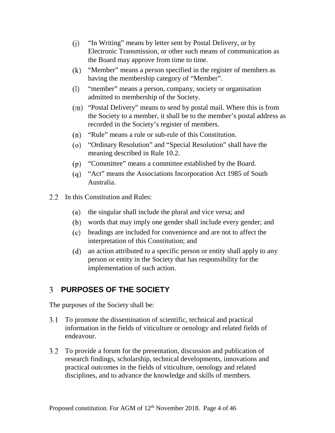- $(i)$ "In Writing" means by letter sent by Postal Delivery, or by Electronic Transmission, or other such means of communication as the Board may approve from time to time.
- "Member" means a person specified in the register of members as  $(k)$ having the membership category of "Member".
- "member" means a person, company, society or organisation  $(1)$ admitted to membership of the Society.
- (m) "Postal Delivery" means to send by postal mail. Where this is from the Society to a member, it shall be to the member's postal address as recorded in the Society's register of members.
- "Rule" means a rule or sub-rule of this Constitution.  $(n)$
- "Ordinary Resolution" and "Special Resolution" shall have the meaning described in Rule [10.2.](#page-35-0)
- "Committee" means a committee established by the Board.
- "Act" means the Associations Incorporation Act 1985 of South Australia.
- 2.2 In this Constitution and Rules:
	- the singular shall include the plural and vice versa; and (a)
	- words that may imply one gender shall include every gender; and
	- headings are included for convenience and are not to affect the interpretation of this Constitution; and
	- $(d)$ an action attributed to a specific person or entity shall apply to any person or entity in the Society that has responsibility for the implementation of such action.

### <span id="page-4-0"></span>**PURPOSES OF THE SOCIETY**

The purposes of the Society shall be:

- To promote the dissemination of scientific, technical and practical information in the fields of viticulture or oenology and related fields of endeavour.
- To provide a forum for the presentation, discussion and publication of research findings, scholarship, technical developments, innovations and practical outcomes in the fields of viticulture, oenology and related disciplines, and to advance the knowledge and skills of members.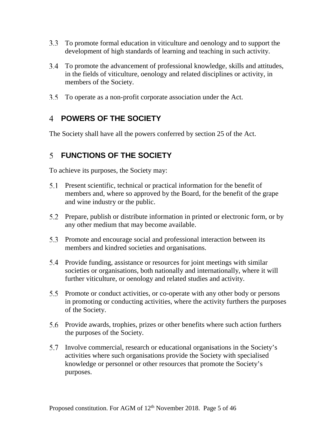- To promote formal education in viticulture and oenology and to support the development of high standards of learning and teaching in such activity.
- To promote the advancement of professional knowledge, skills and attitudes, in the fields of viticulture, oenology and related disciplines or activity, in members of the Society.
- To operate as a non-profit corporate association under the Act.

### <span id="page-5-0"></span>**POWERS OF THE SOCIETY**

<span id="page-5-1"></span>The Society shall have all the powers conferred by section 25 of the Act.

#### **FUNCTIONS OF THE SOCIETY**

To achieve its purposes, the Society may:

- Present scientific, technical or practical information for the benefit of members and, where so approved by the Board, for the benefit of the grape and wine industry or the public.
- Prepare, publish or distribute information in printed or electronic form, or by any other medium that may become available.
- 5.3 Promote and encourage social and professional interaction between its members and kindred societies and organisations.
- Provide funding, assistance or resources for joint meetings with similar societies or organisations, both nationally and internationally, where it will further viticulture, or oenology and related studies and activity.
- 5.5 Promote or conduct activities, or co-operate with any other body or persons in promoting or conducting activities, where the activity furthers the purposes of the Society.
- Provide awards, trophies, prizes or other benefits where such action furthers the purposes of the Society.
- Involve commercial, research or educational organisations in the Society's activities where such organisations provide the Society with specialised knowledge or personnel or other resources that promote the Society's purposes.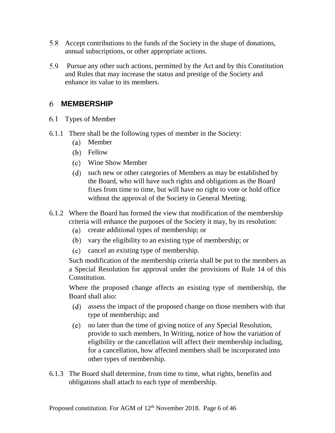- Accept contributions to the funds of the Society in the shape of donations, annual subscriptions, or other appropriate actions.
- Pursue any other such actions, permitted by the Act and by this Constitution 5.9 and Rules that may increase the status and prestige of the Society and enhance its value to its members.

#### <span id="page-6-0"></span>**MEMBERSHIP**

- <span id="page-6-1"></span>Types of Member
- 6.1.1 There shall be the following types of member in the Society:
	- (a) Member
	- (b) Fellow
	- Wine Show Member
	- such new or other categories of Members as may be established by the Board, who will have such rights and obligations as the Board fixes from time to time, but will have no right to vote or hold office without the approval of the Society in General Meeting.
- 6.1.2 Where the Board has formed the view that modification of the membership criteria will enhance the purposes of the Society it may, by its resolution:
	- create additional types of membership; or
	- (b) vary the eligibility to an existing type of membership; or
	- cancel an existing type of membership.

Such modification of the membership criteria shall be put to the members as a Special Resolution for approval under the provisions of Rule [14](#page-44-0) of this Constitution.

Where the proposed change affects an existing type of membership, the Board shall also:

- assess the impact of the proposed change on those members with that type of membership; and
- no later than the time of giving notice of any Special Resolution, provide to such members, In Writing, notice of how the variation of eligibility or the cancellation will affect their membership including, for a cancellation, how affected members shall be incorporated into other types of membership.
- 6.1.3 The Board shall determine, from time to time, what rights, benefits and obligations shall attach to each type of membership.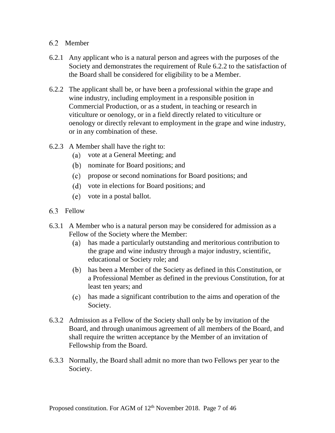#### <span id="page-7-0"></span>6.2 Member

- 6.2.1 Any applicant who is a natural person and agrees with the purposes of the Society and demonstrates the requirement of Rule [6.2.2](#page-7-2) to the satisfaction of the Board shall be considered for eligibility to be a Member.
- <span id="page-7-2"></span>6.2.2 The applicant shall be, or have been a professional within the grape and wine industry, including employment in a responsible position in Commercial Production, or as a student, in teaching or research in viticulture or oenology, or in a field directly related to viticulture or oenology or directly relevant to employment in the grape and wine industry, or in any combination of these.
- 6.2.3 A Member shall have the right to:
	- (a) vote at a General Meeting; and
	- nominate for Board positions; and
	- propose or second nominations for Board positions; and
	- vote in elections for Board positions; and
	- vote in a postal ballot.
- <span id="page-7-1"></span>6.3 Fellow
- 6.3.1 A Member who is a natural person may be considered for admission as a Fellow of the Society where the Member:
	- has made a particularly outstanding and meritorious contribution to the grape and wine industry through a major industry, scientific, educational or Society role; and
	- (b) has been a Member of the Society as defined in this Constitution, or a Professional Member as defined in the previous Constitution, for at least ten years; and
	- has made a significant contribution to the aims and operation of the Society.
- 6.3.2 Admission as a Fellow of the Society shall only be by invitation of the Board, and through unanimous agreement of all members of the Board, and shall require the written acceptance by the Member of an invitation of Fellowship from the Board.
- 6.3.3 Normally, the Board shall admit no more than two Fellows per year to the Society.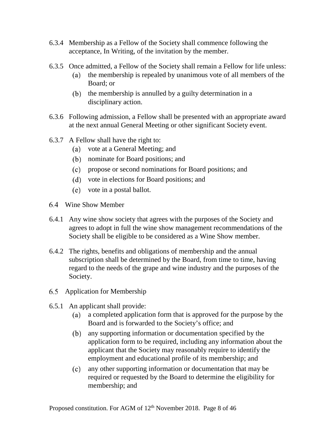- 6.3.4 Membership as a Fellow of the Society shall commence following the acceptance, In Writing, of the invitation by the member.
- 6.3.5 Once admitted, a Fellow of the Society shall remain a Fellow for life unless:
	- the membership is repealed by unanimous vote of all members of the  $(a)$ Board; or
	- $(b)$  the membership is annulled by a guilty determination in a disciplinary action.
- 6.3.6 Following admission, a Fellow shall be presented with an appropriate award at the next annual General Meeting or other significant Society event.
- 6.3.7 A Fellow shall have the right to:
	- vote at a General Meeting; and
	- nominate for Board positions; and
	- propose or second nominations for Board positions; and
	- vote in elections for Board positions; and
	- vote in a postal ballot.
- <span id="page-8-0"></span>Wine Show Member
- 6.4.1 Any wine show society that agrees with the purposes of the Society and agrees to adopt in full the wine show management recommendations of the Society shall be eligible to be considered as a Wine Show member.
- 6.4.2 The rights, benefits and obligations of membership and the annual subscription shall be determined by the Board, from time to time, having regard to the needs of the grape and wine industry and the purposes of the Society.
- <span id="page-8-1"></span>6.5 Application for Membership
- 6.5.1 An applicant shall provide:
	- a completed application form that is approved for the purpose by the Board and is forwarded to the Society's office; and
	- $(b)$ any supporting information or documentation specified by the application form to be required, including any information about the applicant that the Society may reasonably require to identify the employment and educational profile of its membership; and
	- $(c)$ any other supporting information or documentation that may be required or requested by the Board to determine the eligibility for membership; and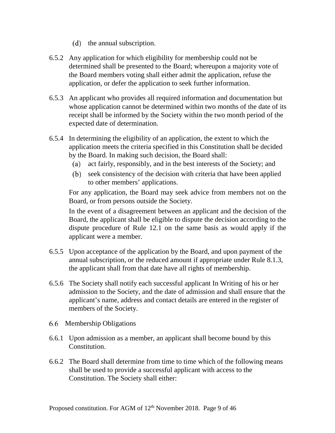- (d) the annual subscription.
- 6.5.2 Any application for which eligibility for membership could not be determined shall be presented to the Board; whereupon a majority vote of the Board members voting shall either admit the application, refuse the application, or defer the application to seek further information.
- 6.5.3 An applicant who provides all required information and documentation but whose application cannot be determined within two months of the date of its receipt shall be informed by the Society within the two month period of the expected date of determination.
- 6.5.4 In determining the eligibility of an application, the extent to which the application meets the criteria specified in this Constitution shall be decided by the Board. In making such decision, the Board shall:
	- $(a)$ act fairly, responsibly, and in the best interests of the Society; and
	- (b) seek consistency of the decision with criteria that have been applied to other members' applications.

For any application, the Board may seek advice from members not on the Board, or from persons outside the Society.

In the event of a disagreement between an applicant and the decision of the Board, the applicant shall be eligible to dispute the decision according to the dispute procedure of Rule [12.1](#page-40-1) on the same basis as would apply if the applicant were a member.

- 6.5.5 Upon acceptance of the application by the Board, and upon payment of the annual subscription, or the reduced amount if appropriate under Rule [8.1.3,](#page-30-2) the applicant shall from that date have all rights of membership.
- 6.5.6 The Society shall notify each successful applicant In Writing of his or her admission to the Society, and the date of admission and shall ensure that the applicant's name, address and contact details are entered in the register of members of the Society.
- <span id="page-9-0"></span>6.6 Membership Obligations
- 6.6.1 Upon admission as a member, an applicant shall become bound by this Constitution.
- 6.6.2 The Board shall determine from time to time which of the following means shall be used to provide a successful applicant with access to the Constitution. The Society shall either: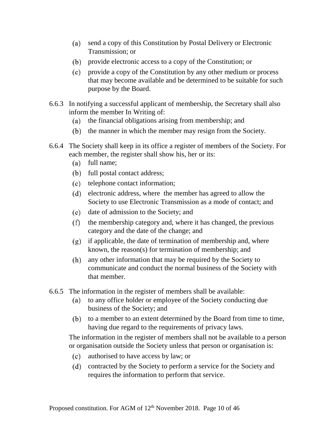- send a copy of this Constitution by Postal Delivery or Electronic Transmission; or
- provide electronic access to a copy of the Constitution; or
- provide a copy of the Constitution by any other medium or process that may become available and be determined to be suitable for such purpose by the Board.
- 6.6.3 In notifying a successful applicant of membership, the Secretary shall also inform the member In Writing of:
	- (a) the financial obligations arising from membership; and
	- (b) the manner in which the member may resign from the Society.
- 6.6.4 The Society shall keep in its office a register of members of the Society. For each member, the register shall show his, her or its:
	- (a) full name;
	- (b) full postal contact address;
	- (c) telephone contact information;
	- (d) electronic address, where the member has agreed to allow the Society to use Electronic Transmission as a mode of contact; and
	- (e) date of admission to the Society; and
	- $(f)$ the membership category and, where it has changed, the previous category and the date of the change; and
	- $(g)$  if applicable, the date of termination of membership and, where known, the reason(s) for termination of membership; and
	- any other information that may be required by the Society to communicate and conduct the normal business of the Society with that member.
- 6.6.5 The information in the register of members shall be available:
	- to any office holder or employee of the Society conducting due business of the Society; and
	- (b) to a member to an extent determined by the Board from time to time, having due regard to the requirements of privacy laws.

The information in the register of members shall not be available to a person or organisation outside the Society unless that person or organisation is:

- authorised to have access by law; or
- contracted by the Society to perform a service for the Society and requires the information to perform that service.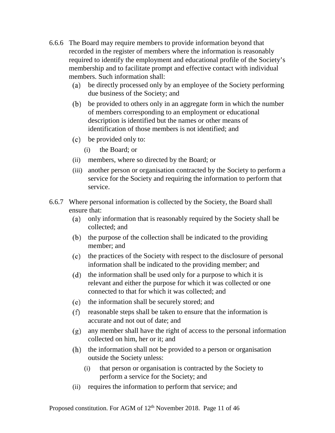- 6.6.6 The Board may require members to provide information beyond that recorded in the register of members where the information is reasonably required to identify the employment and educational profile of the Society's membership and to facilitate prompt and effective contact with individual members. Such information shall:
	- be directly processed only by an employee of the Society performing due business of the Society; and
	- be provided to others only in an aggregate form in which the number of members corresponding to an employment or educational description is identified but the names or other means of identification of those members is not identified; and
	- be provided only to:
		- (i) the Board; or
	- (ii) members, where so directed by the Board; or
	- (iii) another person or organisation contracted by the Society to perform a service for the Society and requiring the information to perform that service.
- 6.6.7 Where personal information is collected by the Society, the Board shall ensure that:
	- only information that is reasonably required by the Society shall be collected; and
	- $(b)$  the purpose of the collection shall be indicated to the providing member; and
	- (c) the practices of the Society with respect to the disclosure of personal information shall be indicated to the providing member; and
	- $(d)$  the information shall be used only for a purpose to which it is relevant and either the purpose for which it was collected or one connected to that for which it was collected; and
	- the information shall be securely stored; and
	- $r(f)$  reasonable steps shall be taken to ensure that the information is accurate and not out of date; and
	- $(g)$  any member shall have the right of access to the personal information collected on him, her or it; and
	- $(h)$  the information shall not be provided to a person or organisation outside the Society unless:
		- (i) that person or organisation is contracted by the Society to perform a service for the Society; and
	- (ii) requires the information to perform that service; and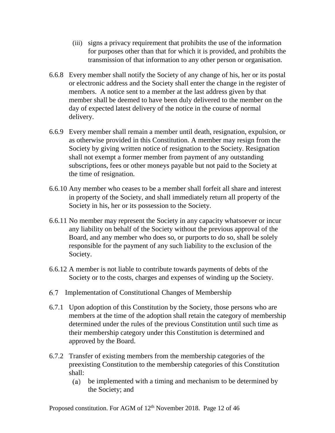- (iii) signs a privacy requirement that prohibits the use of the information for purposes other than that for which it is provided, and prohibits the transmission of that information to any other person or organisation.
- 6.6.8 Every member shall notify the Society of any change of his, her or its postal or electronic address and the Society shall enter the change in the register of members. A notice sent to a member at the last address given by that member shall be deemed to have been duly delivered to the member on the day of expected latest delivery of the notice in the course of normal delivery.
- 6.6.9 Every member shall remain a member until death, resignation, expulsion, or as otherwise provided in this Constitution. A member may resign from the Society by giving written notice of resignation to the Society. Resignation shall not exempt a former member from payment of any outstanding subscriptions, fees or other moneys payable but not paid to the Society at the time of resignation.
- 6.6.10 Any member who ceases to be a member shall forfeit all share and interest in property of the Society, and shall immediately return all property of the Society in his, her or its possession to the Society.
- 6.6.11 No member may represent the Society in any capacity whatsoever or incur any liability on behalf of the Society without the previous approval of the Board, and any member who does so, or purports to do so, shall be solely responsible for the payment of any such liability to the exclusion of the Society.
- 6.6.12 A member is not liable to contribute towards payments of debts of the Society or to the costs, charges and expenses of winding up the Society.
- <span id="page-12-0"></span>Implementation of Constitutional Changes of Membership
- 6.7.1 Upon adoption of this Constitution by the Society, those persons who are members at the time of the adoption shall retain the category of membership determined under the rules of the previous Constitution until such time as their membership category under this Constitution is determined and approved by the Board.
- 6.7.2 Transfer of existing members from the membership categories of the preexisting Constitution to the membership categories of this Constitution shall:
	- be implemented with a timing and mechanism to be determined by the Society; and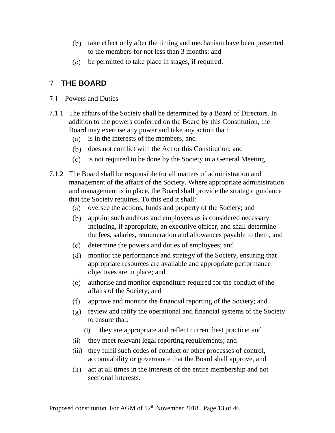- (b) take effect only after the timing and mechanism have been presented to the members for not less than 3 months; and
- be permitted to take place in stages, if required.

#### <span id="page-13-0"></span>**THE BOARD**

- <span id="page-13-1"></span>7.1 Powers and Duties
- 7.1.1 The affairs of the Society shall be determined by a Board of Directors. In addition to the powers conferred on the Board by this Constitution, the Board may exercise any power and take any action that:
	- (a) is in the interests of the members, and
	- does not conflict with the Act or this Constitution, and
	- is not required to be done by the Society in a General Meeting.
- 7.1.2 The Board shall be responsible for all matters of administration and management of the affairs of the Society. Where appropriate administration and management is in place, the Board shall provide the strategic guidance that the Society requires. To this end it shall:
	- (a) oversee the actions, funds and property of the Society; and
	- (b) appoint such auditors and employees as is considered necessary including, if appropriate, an executive officer, and shall determine the fees, salaries, remuneration and allowances payable to them, and
	- determine the powers and duties of employees; and
	- monitor the performance and strategy of the Society, ensuring that appropriate resources are available and appropriate performance objectives are in place; and
	- authorise and monitor expenditure required for the conduct of the affairs of the Society; and
	- $(f)$ approve and monitor the financial reporting of the Society; and
	- (g) review and ratify the operational and financial systems of the Society to ensure that:
		- (i) they are appropriate and reflect current best practice; and
	- (ii) they meet relevant legal reporting requirements; and
	- (iii) they fulfil such codes of conduct or other processes of control, accountability or governance that the Board shall approve, and
	- act at all times in the interests of the entire membership and not sectional interests.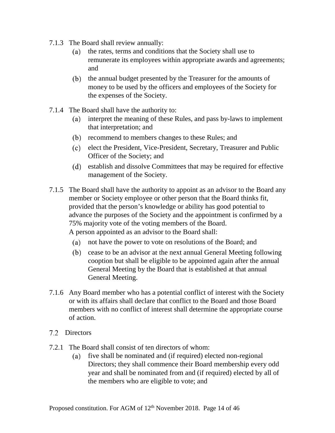- 7.1.3 The Board shall review annually:
	- (a) the rates, terms and conditions that the Society shall use to remunerate its employees within appropriate awards and agreements; and
	- (b) the annual budget presented by the Treasurer for the amounts of money to be used by the officers and employees of the Society for the expenses of the Society.
- 7.1.4 The Board shall have the authority to:
	- interpret the meaning of these Rules, and pass by-laws to implement that interpretation; and
	- (b) recommend to members changes to these Rules; and
	- (c) elect the President, Vice-President, Secretary, Treasurer and Public Officer of the Society; and
	- establish and dissolve Committees that may be required for effective management of the Society.
- 7.1.5 The Board shall have the authority to appoint as an advisor to the Board any member or Society employee or other person that the Board thinks fit, provided that the person's knowledge or ability has good potential to advance the purposes of the Society and the appointment is confirmed by a 75% majority vote of the voting members of the Board. A person appointed as an advisor to the Board shall:
	- not have the power to vote on resolutions of the Board; and
	- cease to be an advisor at the next annual General Meeting following cooption but shall be eligible to be appointed again after the annual General Meeting by the Board that is established at that annual General Meeting.
- 7.1.6 Any Board member who has a potential conflict of interest with the Society or with its affairs shall declare that conflict to the Board and those Board members with no conflict of interest shall determine the appropriate course of action.
- <span id="page-14-0"></span>7.2 Directors
- 7.2.1 The Board shall consist of ten directors of whom:
	- (a) five shall be nominated and (if required) elected non-regional Directors; they shall commence their Board membership every odd year and shall be nominated from and (if required) elected by all of the members who are eligible to vote; and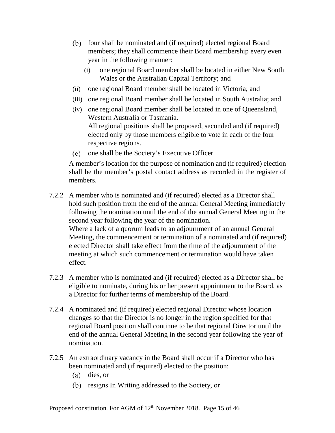- (b) four shall be nominated and (if required) elected regional Board members; they shall commence their Board membership every even year in the following manner:
	- (i) one regional Board member shall be located in either New South Wales or the Australian Capital Territory; and
- (ii) one regional Board member shall be located in Victoria; and
- (iii) one regional Board member shall be located in South Australia; and
- (iv) one regional Board member shall be located in one of Queensland, Western Australia or Tasmania. All regional positions shall be proposed, seconded and (if required) elected only by those members eligible to vote in each of the four respective regions.
- one shall be the Society's Executive Officer.

A member's location for the purpose of nomination and (if required) election shall be the member's postal contact address as recorded in the register of members.

- 7.2.2 A member who is nominated and (if required) elected as a Director shall hold such position from the end of the annual General Meeting immediately following the nomination until the end of the annual General Meeting in the second year following the year of the nomination. Where a lack of a quorum leads to an adjournment of an annual General Meeting, the commencement or termination of a nominated and (if required) elected Director shall take effect from the time of the adjournment of the meeting at which such commencement or termination would have taken effect.
- 7.2.3 A member who is nominated and (if required) elected as a Director shall be eligible to nominate, during his or her present appointment to the Board, as a Director for further terms of membership of the Board.
- <span id="page-15-0"></span>7.2.4 A nominated and (if required) elected regional Director whose location changes so that the Director is no longer in the region specified for that regional Board position shall continue to be that regional Director until the end of the annual General Meeting in the second year following the year of nomination.
- 7.2.5 An extraordinary vacancy in the Board shall occur if a Director who has been nominated and (if required) elected to the position:
	- (a) dies, or
	- (b) resigns In Writing addressed to the Society, or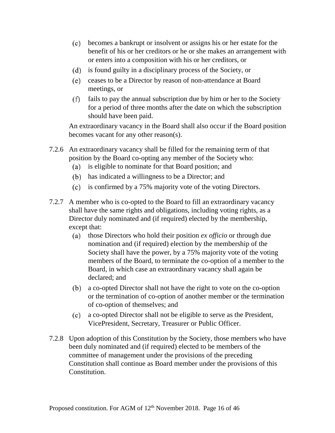- becomes a bankrupt or insolvent or assigns his or her estate for the benefit of his or her creditors or he or she makes an arrangement with or enters into a composition with his or her creditors, or
- is found guilty in a disciplinary process of the Society, or
- ceases to be a Director by reason of non-attendance at Board meetings, or
- $(f)$ fails to pay the annual subscription due by him or her to the Society for a period of three months after the date on which the subscription should have been paid.

An extraordinary vacancy in the Board shall also occur if the Board position becomes vacant for any other reason(s).

- 7.2.6 An extraordinary vacancy shall be filled for the remaining term of that position by the Board co-opting any member of the Society who:
	- is eligible to nominate for that Board position; and  $(a)$
	- (b) has indicated a willingness to be a Director; and
	- is confirmed by a 75% majority vote of the voting Directors.
- 7.2.7 A member who is co-opted to the Board to fill an extraordinary vacancy shall have the same rights and obligations, including voting rights, as a Director duly nominated and (if required) elected by the membership, except that:
	- $(a)$ those Directors who hold their position *ex officio* or through due nomination and (if required) election by the membership of the Society shall have the power, by a 75% majority vote of the voting members of the Board, to terminate the co-option of a member to the Board, in which case an extraordinary vacancy shall again be declared; and
	- a co-opted Director shall not have the right to vote on the co-option or the termination of co-option of another member or the termination of co-option of themselves; and
	- a co-opted Director shall not be eligible to serve as the President, VicePresident, Secretary, Treasurer or Public Officer.
- 7.2.8 Upon adoption of this Constitution by the Society, those members who have been duly nominated and (if required) elected to be members of the committee of management under the provisions of the preceding Constitution shall continue as Board member under the provisions of this Constitution.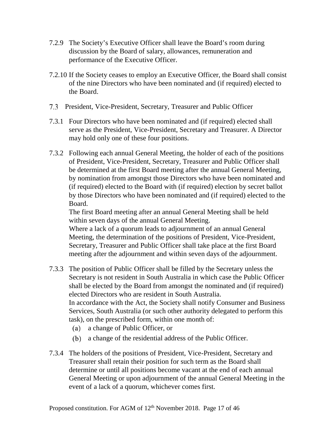- 7.2.9 The Society's Executive Officer shall leave the Board's room during discussion by the Board of salary, allowances, remuneration and performance of the Executive Officer.
- 7.2.10 If the Society ceases to employ an Executive Officer, the Board shall consist of the nine Directors who have been nominated and (if required) elected to the Board.
- <span id="page-17-0"></span>President, Vice-President, Secretary, Treasurer and Public Officer
- 7.3.1 Four Directors who have been nominated and (if required) elected shall serve as the President, Vice-President, Secretary and Treasurer. A Director may hold only one of these four positions.
- 7.3.2 Following each annual General Meeting, the holder of each of the positions of President, Vice-President, Secretary, Treasurer and Public Officer shall be determined at the first Board meeting after the annual General Meeting, by nomination from amongst those Directors who have been nominated and (if required) elected to the Board with (if required) election by secret ballot by those Directors who have been nominated and (if required) elected to the Board.

The first Board meeting after an annual General Meeting shall be held within seven days of the annual General Meeting.

Where a lack of a quorum leads to adjournment of an annual General Meeting, the determination of the positions of President, Vice-President, Secretary, Treasurer and Public Officer shall take place at the first Board meeting after the adjournment and within seven days of the adjournment.

- 7.3.3 The position of Public Officer shall be filled by the Secretary unless the Secretary is not resident in South Australia in which case the Public Officer shall be elected by the Board from amongst the nominated and (if required) elected Directors who are resident in South Australia. In accordance with the Act, the Society shall notify Consumer and Business Services, South Australia (or such other authority delegated to perform this task), on the prescribed form, within one month of:
	- a change of Public Officer, or  $(a)$
	- a change of the residential address of the Public Officer.
- 7.3.4 The holders of the positions of President, Vice-President, Secretary and Treasurer shall retain their position for such term as the Board shall determine or until all positions become vacant at the end of each annual General Meeting or upon adjournment of the annual General Meeting in the event of a lack of a quorum, whichever comes first.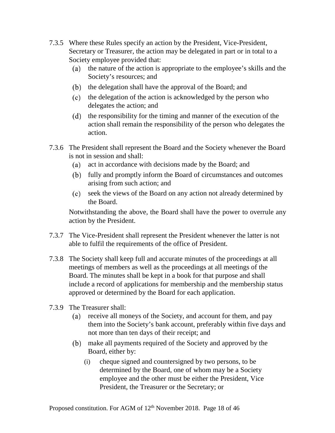- 7.3.5 Where these Rules specify an action by the President, Vice-President, Secretary or Treasurer, the action may be delegated in part or in total to a Society employee provided that:
	- (a) the nature of the action is appropriate to the employee's skills and the Society's resources; and
	- (b) the delegation shall have the approval of the Board; and
	- (c) the delegation of the action is acknowledged by the person who delegates the action; and
	- (d) the responsibility for the timing and manner of the execution of the action shall remain the responsibility of the person who delegates the action.
- 7.3.6 The President shall represent the Board and the Society whenever the Board is not in session and shall:
	- $(a)$ act in accordance with decisions made by the Board; and
	- fully and promptly inform the Board of circumstances and outcomes arising from such action; and
	- $(c)$ seek the views of the Board on any action not already determined by the Board.

Notwithstanding the above, the Board shall have the power to overrule any action by the President.

- 7.3.7 The Vice-President shall represent the President whenever the latter is not able to fulfil the requirements of the office of President.
- 7.3.8 The Society shall keep full and accurate minutes of the proceedings at all meetings of members as well as the proceedings at all meetings of the Board. The minutes shall be kept in a book for that purpose and shall include a record of applications for membership and the membership status approved or determined by the Board for each application.
- 7.3.9 The Treasurer shall:
	- receive all moneys of the Society, and account for them, and pay  $(a)$ them into the Society's bank account, preferably within five days and not more than ten days of their receipt; and
	- make all payments required of the Society and approved by the Board, either by:
		- (i) cheque signed and countersigned by two persons, to be determined by the Board, one of whom may be a Society employee and the other must be either the President, Vice President, the Treasurer or the Secretary; or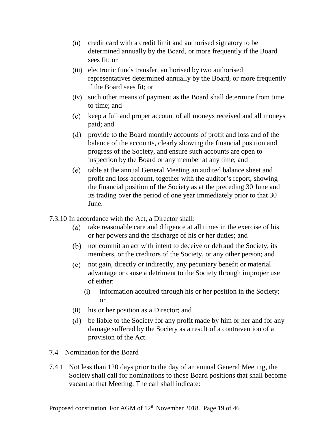- (ii) credit card with a credit limit and authorised signatory to be determined annually by the Board, or more frequently if the Board sees fit; or
- (iii) electronic funds transfer, authorised by two authorised representatives determined annually by the Board, or more frequently if the Board sees fit; or
- (iv) such other means of payment as the Board shall determine from time to time; and
- keep a full and proper account of all moneys received and all moneys paid; and
- provide to the Board monthly accounts of profit and loss and of the balance of the accounts, clearly showing the financial position and progress of the Society, and ensure such accounts are open to inspection by the Board or any member at any time; and
- $(e)$ table at the annual General Meeting an audited balance sheet and profit and loss account, together with the auditor's report, showing the financial position of the Society as at the preceding 30 June and its trading over the period of one year immediately prior to that 30 June.
- 7.3.10 In accordance with the Act, a Director shall:
	- take reasonable care and diligence at all times in the exercise of his  $(a)$ or her powers and the discharge of his or her duties; and
	- not commit an act with intent to deceive or defraud the Society, its members, or the creditors of the Society, or any other person; and
	- $(c)$ not gain, directly or indirectly, any pecuniary benefit or material advantage or cause a detriment to the Society through improper use of either:
		- (i) information acquired through his or her position in the Society; or
	- (ii) his or her position as a Director; and
	- $(d)$ be liable to the Society for any profit made by him or her and for any damage suffered by the Society as a result of a contravention of a provision of the Act.
- <span id="page-19-0"></span>7.4 Nomination for the Board
- 7.4.1 Not less than 120 days prior to the day of an annual General Meeting, the Society shall call for nominations to those Board positions that shall become vacant at that Meeting. The call shall indicate: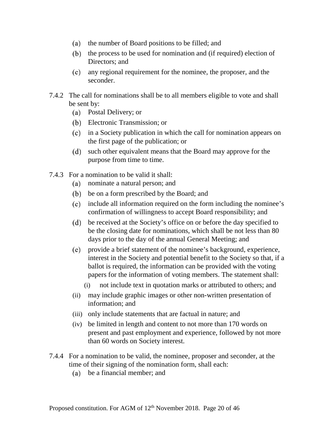- (a) the number of Board positions to be filled; and
- $(b)$  the process to be used for nomination and (if required) election of Directors; and
- any regional requirement for the nominee, the proposer, and the seconder.
- 7.4.2 The call for nominations shall be to all members eligible to vote and shall be sent by:
	- Postal Delivery; or
	- Electronic Transmission; or
	- in a Society publication in which the call for nomination appears on the first page of the publication; or
	- $(d)$ such other equivalent means that the Board may approve for the purpose from time to time.
- <span id="page-20-1"></span><span id="page-20-0"></span>7.4.3 For a nomination to be valid it shall:
	- nominate a natural person; and
	- be on a form prescribed by the Board; and
	- include all information required on the form including the nominee's confirmation of willingness to accept Board responsibility; and
	- be received at the Society's office on or before the day specified to be the closing date for nominations, which shall be not less than 80 days prior to the day of the annual General Meeting; and
	- provide a brief statement of the nominee's background, experience, interest in the Society and potential benefit to the Society so that, if a ballot is required, the information can be provided with the voting papers for the information of voting members. The statement shall:
		- (i) not include text in quotation marks or attributed to others; and
	- (ii) may include graphic images or other non-written presentation of information; and
	- (iii) only include statements that are factual in nature; and
	- (iv) be limited in length and content to not more than 170 words on present and past employment and experience, followed by not more than 60 words on Society interest.
- 7.4.4 For a nomination to be valid, the nominee, proposer and seconder, at the time of their signing of the nomination form, shall each:
	- be a financial member; and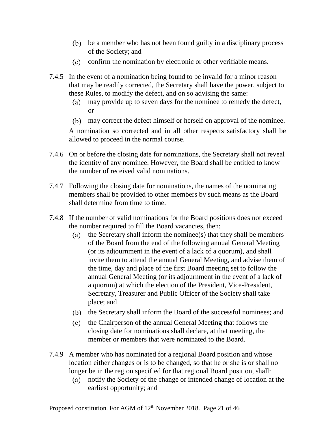- be a member who has not been found guilty in a disciplinary process of the Society; and
- confirm the nomination by electronic or other verifiable means.
- 7.4.5 In the event of a nomination being found to be invalid for a minor reason that may be readily corrected, the Secretary shall have the power, subject to these Rules, to modify the defect, and on so advising the same:
	- $(a)$ may provide up to seven days for the nominee to remedy the defect, or
	- may correct the defect himself or herself on approval of the nominee.

A nomination so corrected and in all other respects satisfactory shall be allowed to proceed in the normal course.

- 7.4.6 On or before the closing date for nominations, the Secretary shall not reveal the identity of any nominee. However, the Board shall be entitled to know the number of received valid nominations.
- 7.4.7 Following the closing date for nominations, the names of the nominating members shall be provided to other members by such means as the Board shall determine from time to time.
- 7.4.8 If the number of valid nominations for the Board positions does not exceed the number required to fill the Board vacancies, then:
	- the Secretary shall inform the nominee(s) that they shall be members  $(a)$ of the Board from the end of the following annual General Meeting (or its adjournment in the event of a lack of a quorum), and shall invite them to attend the annual General Meeting, and advise them of the time, day and place of the first Board meeting set to follow the annual General Meeting (or its adjournment in the event of a lack of a quorum) at which the election of the President, Vice-President, Secretary, Treasurer and Public Officer of the Society shall take place; and
	- (b) the Secretary shall inform the Board of the successful nominees; and
	- $(c)$ the Chairperson of the annual General Meeting that follows the closing date for nominations shall declare, at that meeting, the member or members that were nominated to the Board.
- 7.4.9 A member who has nominated for a regional Board position and whose location either changes or is to be changed, so that he or she is or shall no longer be in the region specified for that regional Board position, shall:
	- notify the Society of the change or intended change of location at the  $(a)$ earliest opportunity; and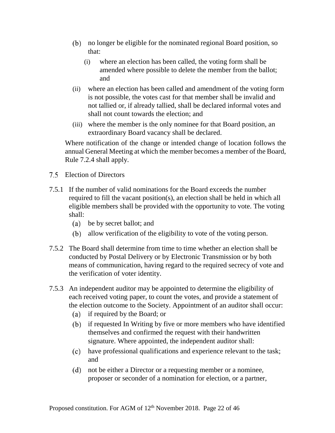- no longer be eligible for the nominated regional Board position, so that:
	- (i) where an election has been called, the voting form shall be amended where possible to delete the member from the ballot; and
- (ii) where an election has been called and amendment of the voting form is not possible, the votes cast for that member shall be invalid and not tallied or, if already tallied, shall be declared informal votes and shall not count towards the election; and
- (iii) where the member is the only nominee for that Board position, an extraordinary Board vacancy shall be declared.

Where notification of the change or intended change of location follows the annual General Meeting at which the member becomes a member of the Board, Rule [7.2.4](#page-15-0) shall apply.

- <span id="page-22-0"></span>Election of Directors
- <span id="page-22-1"></span>7.5.1 If the number of valid nominations for the Board exceeds the number required to fill the vacant position(s), an election shall be held in which all eligible members shall be provided with the opportunity to vote. The voting shall:
	- be by secret ballot; and
	- allow verification of the eligibility to vote of the voting person.
- 7.5.2 The Board shall determine from time to time whether an election shall be conducted by Postal Delivery or by Electronic Transmission or by both means of communication, having regard to the required secrecy of vote and the verification of voter identity.
- 7.5.3 An independent auditor may be appointed to determine the eligibility of each received voting paper, to count the votes, and provide a statement of the election outcome to the Society. Appointment of an auditor shall occur:
	- if required by the Board; or
	- (b) if requested In Writing by five or more members who have identified themselves and confirmed the request with their handwritten signature. Where appointed, the independent auditor shall:
	- have professional qualifications and experience relevant to the task; and
	- not be either a Director or a requesting member or a nominee, proposer or seconder of a nomination for election, or a partner,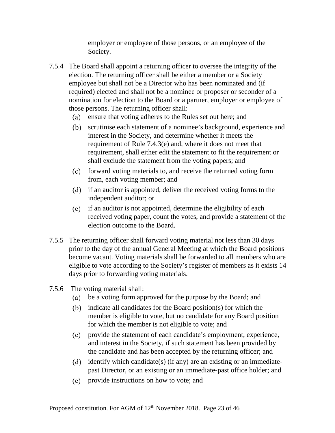employer or employee of those persons, or an employee of the Society.

- 7.5.4 The Board shall appoint a returning officer to oversee the integrity of the election. The returning officer shall be either a member or a Society employee but shall not be a Director who has been nominated and (if required) elected and shall not be a nominee or proposer or seconder of a nomination for election to the Board or a partner, employer or employee of those persons. The returning officer shall:
	- (a) ensure that voting adheres to the Rules set out here; and
	- scrutinise each statement of a nominee's background, experience and interest in the Society, and determine whether it meets the requirement of Rule [7.4.3](#page-20-0)[\(e\)](#page-20-1) and, where it does not meet that requirement, shall either edit the statement to fit the requirement or shall exclude the statement from the voting papers; and
	- (c) forward voting materials to, and receive the returned voting form from, each voting member; and
	- (d) if an auditor is appointed, deliver the received voting forms to the independent auditor; or
	- if an auditor is not appointed, determine the eligibility of each received voting paper, count the votes, and provide a statement of the election outcome to the Board.
- 7.5.5 The returning officer shall forward voting material not less than 30 days prior to the day of the annual General Meeting at which the Board positions become vacant. Voting materials shall be forwarded to all members who are eligible to vote according to the Society's register of members as it exists 14 days prior to forwarding voting materials.
- 7.5.6 The voting material shall:
	- be a voting form approved for the purpose by the Board; and
	- $(b)$  indicate all candidates for the Board position(s) for which the member is eligible to vote, but no candidate for any Board position for which the member is not eligible to vote; and
	- $(c)$ provide the statement of each candidate's employment, experience, and interest in the Society, if such statement has been provided by the candidate and has been accepted by the returning officer; and
	- (d) identify which candidate(s) (if any) are an existing or an immediatepast Director, or an existing or an immediate-past office holder; and
	- provide instructions on how to vote; and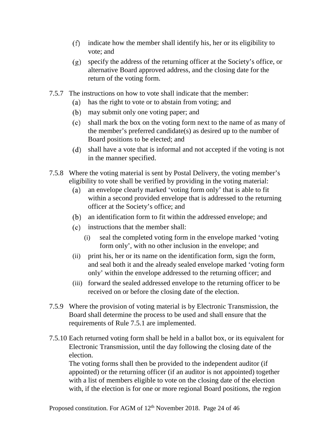- $(f)$ indicate how the member shall identify his, her or its eligibility to vote; and
- specify the address of the returning officer at the Society's office, or alternative Board approved address, and the closing date for the return of the voting form.
- 7.5.7 The instructions on how to vote shall indicate that the member:
	- has the right to vote or to abstain from voting; and  $(a)$
	- may submit only one voting paper; and
	- shall mark the box on the voting form next to the name of as many of the member's preferred candidate(s) as desired up to the number of Board positions to be elected; and
	- shall have a vote that is informal and not accepted if the voting is not in the manner specified.
- 7.5.8 Where the voting material is sent by Postal Delivery, the voting member's eligibility to vote shall be verified by providing in the voting material:
	- an envelope clearly marked 'voting form only' that is able to fit  $(a)$ within a second provided envelope that is addressed to the returning officer at the Society's office; and
	- an identification form to fit within the addressed envelope; and
	- (c) instructions that the member shall:
		- (i) seal the completed voting form in the envelope marked 'voting form only', with no other inclusion in the envelope; and
	- (ii) print his, her or its name on the identification form, sign the form, and seal both it and the already sealed envelope marked 'voting form only' within the envelope addressed to the returning officer; and
	- (iii) forward the sealed addressed envelope to the returning officer to be received on or before the closing date of the election.
- 7.5.9 Where the provision of voting material is by Electronic Transmission, the Board shall determine the process to be used and shall ensure that the requirements of Rule [7.5.1](#page-22-1) are implemented.
- 7.5.10 Each returned voting form shall be held in a ballot box, or its equivalent for Electronic Transmission, until the day following the closing date of the election.

The voting forms shall then be provided to the independent auditor (if appointed) or the returning officer (if an auditor is not appointed) together with a list of members eligible to vote on the closing date of the election with, if the election is for one or more regional Board positions, the region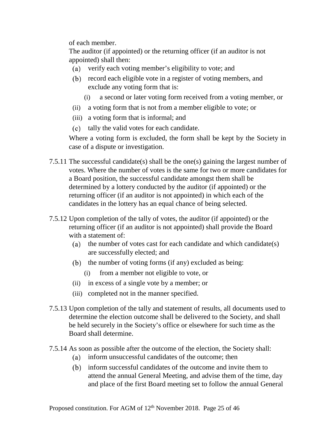of each member.

The auditor (if appointed) or the returning officer (if an auditor is not appointed) shall then:

- verify each voting member's eligibility to vote; and
- (b) record each eligible vote in a register of voting members, and exclude any voting form that is:
	- (i) a second or later voting form received from a voting member, or
- (ii) a voting form that is not from a member eligible to vote; or
- (iii) a voting form that is informal; and
- (c) tally the valid votes for each candidate.

Where a voting form is excluded, the form shall be kept by the Society in case of a dispute or investigation.

- 7.5.11 The successful candidate(s) shall be the one(s) gaining the largest number of votes. Where the number of votes is the same for two or more candidates for a Board position, the successful candidate amongst them shall be determined by a lottery conducted by the auditor (if appointed) or the returning officer (if an auditor is not appointed) in which each of the candidates in the lottery has an equal chance of being selected.
- 7.5.12 Upon completion of the tally of votes, the auditor (if appointed) or the returning officer (if an auditor is not appointed) shall provide the Board with a statement of:
	- (a) the number of votes cast for each candidate and which candidate(s) are successfully elected; and
	- $(b)$  the number of voting forms (if any) excluded as being:
		- (i) from a member not eligible to vote, or
	- (ii) in excess of a single vote by a member; or
	- (iii) completed not in the manner specified.
- 7.5.13 Upon completion of the tally and statement of results, all documents used to determine the election outcome shall be delivered to the Society, and shall be held securely in the Society's office or elsewhere for such time as the Board shall determine.
- 7.5.14 As soon as possible after the outcome of the election, the Society shall:
	- (a) inform unsuccessful candidates of the outcome; then
	- $(b)$ inform successful candidates of the outcome and invite them to attend the annual General Meeting, and advise them of the time, day and place of the first Board meeting set to follow the annual General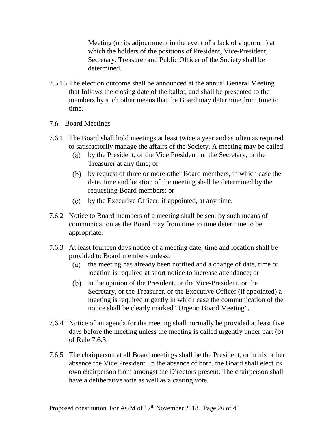Meeting (or its adjournment in the event of a lack of a quorum) at which the holders of the positions of President, Vice-President, Secretary, Treasurer and Public Officer of the Society shall be determined.

- 7.5.15 The election outcome shall be announced at the annual General Meeting that follows the closing date of the ballot, and shall be presented to the members by such other means that the Board may determine from time to time.
- <span id="page-26-0"></span>7.6 Board Meetings
- 7.6.1 The Board shall hold meetings at least twice a year and as often as required to satisfactorily manage the affairs of the Society. A meeting may be called:
	- by the President, or the Vice President, or the Secretary, or the Treasurer at any time; or
	- by request of three or more other Board members, in which case the date, time and location of the meeting shall be determined by the requesting Board members; or
	- by the Executive Officer, if appointed, at any time.
- 7.6.2 Notice to Board members of a meeting shall be sent by such means of communication as the Board may from time to time determine to be appropriate.
- <span id="page-26-1"></span>7.6.3 At least fourteen days notice of a meeting date, time and location shall be provided to Board members unless:
	- (a) the meeting has already been notified and a change of date, time or location is required at short notice to increase attendance; or
	- (b) in the opinion of the President, or the Vice-President, or the Secretary, or the Treasurer, or the Executive Officer (if appointed) a meeting is required urgently in which case the communication of the notice shall be clearly marked "Urgent: Board Meeting".
- 7.6.4 Notice of an agenda for the meeting shall normally be provided at least five days before the meeting unless the meeting is called urgently under part (b) of Rule [7.6.3.](#page-26-1)
- 7.6.5 The chairperson at all Board meetings shall be the President, or in his or her absence the Vice President. In the absence of both, the Board shall elect its own chairperson from amongst the Directors present. The chairperson shall have a deliberative vote as well as a casting vote.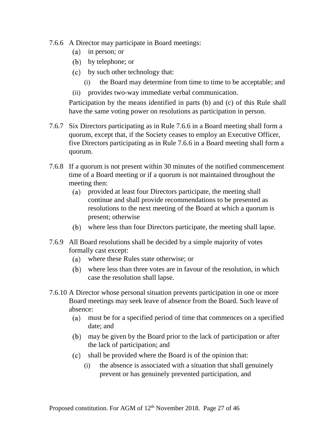- <span id="page-27-0"></span>7.6.6 A Director may participate in Board meetings:
	- (a) in person; or
	- by telephone; or
	- by such other technology that:
		- (i) the Board may determine from time to time to be acceptable; and
	- (ii) provides two-way immediate verbal communication.

Participation by the means identified in parts (b) and (c) of this Rule shall have the same voting power on resolutions as participation in person.

- 7.6.7 Six Directors participating as in Rule [7.6.6](#page-27-0) in a Board meeting shall form a quorum, except that, if the Society ceases to employ an Executive Officer, five Directors participating as in Rule [7.6.6](#page-27-0) in a Board meeting shall form a quorum.
- 7.6.8 If a quorum is not present within 30 minutes of the notified commencement time of a Board meeting or if a quorum is not maintained throughout the meeting then:
	- provided at least four Directors participate, the meeting shall  $(a)$ continue and shall provide recommendations to be presented as resolutions to the next meeting of the Board at which a quorum is present; otherwise
	- where less than four Directors participate, the meeting shall lapse.
- 7.6.9 All Board resolutions shall be decided by a simple majority of votes formally cast except:
	- where these Rules state otherwise; or
	- where less than three votes are in favour of the resolution, in which case the resolution shall lapse.
- 7.6.10 A Director whose personal situation prevents participation in one or more Board meetings may seek leave of absence from the Board. Such leave of absence:
	- must be for a specified period of time that commences on a specified date; and
	- may be given by the Board prior to the lack of participation or after the lack of participation; and
	- shall be provided where the Board is of the opinion that:
		- (i) the absence is associated with a situation that shall genuinely prevent or has genuinely prevented participation, and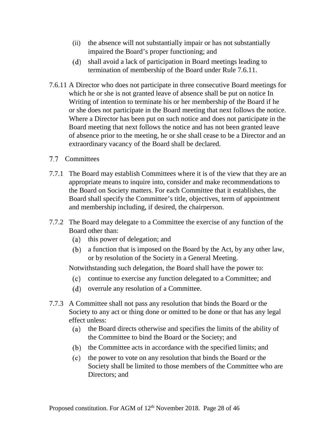- (ii) the absence will not substantially impair or has not substantially impaired the Board's proper functioning; and
- shall avoid a lack of participation in Board meetings leading to termination of membership of the Board under Rule [7.6.11.](#page-28-1)
- <span id="page-28-1"></span>7.6.11 A Director who does not participate in three consecutive Board meetings for which he or she is not granted leave of absence shall be put on notice In Writing of intention to terminate his or her membership of the Board if he or she does not participate in the Board meeting that next follows the notice. Where a Director has been put on such notice and does not participate in the Board meeting that next follows the notice and has not been granted leave of absence prior to the meeting, he or she shall cease to be a Director and an extraordinary vacancy of the Board shall be declared.
- <span id="page-28-0"></span>7.7 Committees
- 7.7.1 The Board may establish Committees where it is of the view that they are an appropriate means to inquire into, consider and make recommendations to the Board on Society matters. For each Committee that it establishes, the Board shall specify the Committee's title, objectives, term of appointment and membership including, if desired, the chairperson.
- 7.7.2 The Board may delegate to a Committee the exercise of any function of the Board other than:
	- (a) this power of delegation; and
	- a function that is imposed on the Board by the Act, by any other law, or by resolution of the Society in a General Meeting.

Notwithstanding such delegation, the Board shall have the power to:

- continue to exercise any function delegated to a Committee; and
- overrule any resolution of a Committee.
- 7.7.3 A Committee shall not pass any resolution that binds the Board or the Society to any act or thing done or omitted to be done or that has any legal effect unless:
	- (a) the Board directs otherwise and specifies the limits of the ability of the Committee to bind the Board or the Society; and
	- (b) the Committee acts in accordance with the specified limits; and
	- $(c)$ the power to vote on any resolution that binds the Board or the Society shall be limited to those members of the Committee who are Directors; and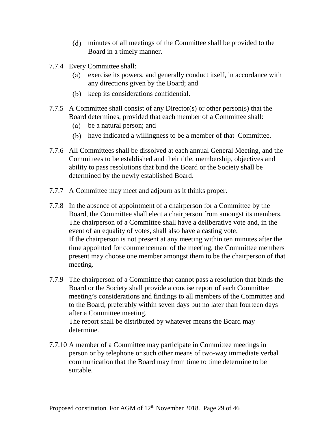- minutes of all meetings of the Committee shall be provided to the Board in a timely manner.
- 7.7.4 Every Committee shall:
	- exercise its powers, and generally conduct itself, in accordance with  $(a)$ any directions given by the Board; and
	- (b) keep its considerations confidential.
- <span id="page-29-0"></span>7.7.5 A Committee shall consist of any Director(s) or other person(s) that the Board determines, provided that each member of a Committee shall:
	- be a natural person; and
	- have indicated a willingness to be a member of that Committee.
- 7.7.6 All Committees shall be dissolved at each annual General Meeting, and the Committees to be established and their title, membership, objectives and ability to pass resolutions that bind the Board or the Society shall be determined by the newly established Board.
- 7.7.7 A Committee may meet and adjourn as it thinks proper.
- 7.7.8 In the absence of appointment of a chairperson for a Committee by the Board, the Committee shall elect a chairperson from amongst its members. The chairperson of a Committee shall have a deliberative vote and, in the event of an equality of votes, shall also have a casting vote. If the chairperson is not present at any meeting within ten minutes after the time appointed for commencement of the meeting, the Committee members present may choose one member amongst them to be the chairperson of that meeting.
- 7.7.9 The chairperson of a Committee that cannot pass a resolution that binds the Board or the Society shall provide a concise report of each Committee meeting's considerations and findings to all members of the Committee and to the Board, preferably within seven days but no later than fourteen days after a Committee meeting.

The report shall be distributed by whatever means the Board may determine.

7.7.10 A member of a Committee may participate in Committee meetings in person or by telephone or such other means of two-way immediate verbal communication that the Board may from time to time determine to be suitable.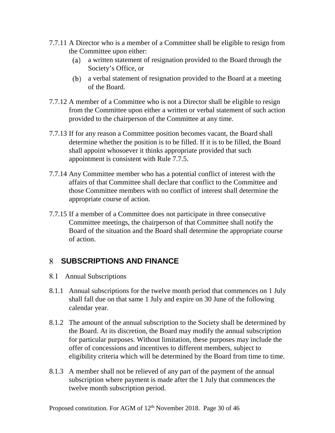- 7.7.11 A Director who is a member of a Committee shall be eligible to resign from the Committee upon either:
	- $(a)$ a written statement of resignation provided to the Board through the Society's Office, or
	- a verbal statement of resignation provided to the Board at a meeting of the Board.
- 7.7.12 A member of a Committee who is not a Director shall be eligible to resign from the Committee upon either a written or verbal statement of such action provided to the chairperson of the Committee at any time.
- 7.7.13 If for any reason a Committee position becomes vacant, the Board shall determine whether the position is to be filled. If it is to be filled, the Board shall appoint whosoever it thinks appropriate provided that such appointment is consistent with Rule [7.7.5.](#page-29-0)
- 7.7.14 Any Committee member who has a potential conflict of interest with the affairs of that Committee shall declare that conflict to the Committee and those Committee members with no conflict of interest shall determine the appropriate course of action.
- 7.7.15 If a member of a Committee does not participate in three consecutive Committee meetings, the chairperson of that Committee shall notify the Board of the situation and the Board shall determine the appropriate course of action.

### <span id="page-30-0"></span>**SUBSCRIPTIONS AND FINANCE**

- <span id="page-30-1"></span>Annual Subscriptions
- 8.1.1 Annual subscriptions for the twelve month period that commences on 1 July shall fall due on that same 1 July and expire on 30 June of the following calendar year.
- 8.1.2 The amount of the annual subscription to the Society shall be determined by the Board. At its discretion, the Board may modify the annual subscription for particular purposes. Without limitation, these purposes may include the offer of concessions and incentives to different members, subject to eligibility criteria which will be determined by the Board from time to time.
- <span id="page-30-2"></span>8.1.3 A member shall not be relieved of any part of the payment of the annual subscription where payment is made after the 1 July that commences the twelve month subscription period.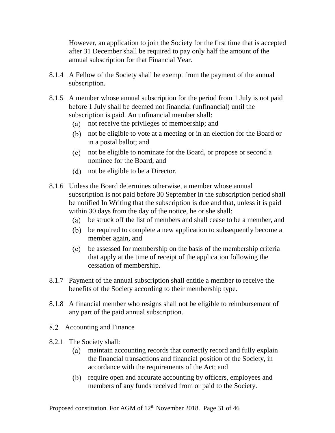However, an application to join the Society for the first time that is accepted after 31 December shall be required to pay only half the amount of the annual subscription for that Financial Year.

- 8.1.4 A Fellow of the Society shall be exempt from the payment of the annual subscription.
- 8.1.5 A member whose annual subscription for the period from 1 July is not paid before 1 July shall be deemed not financial (unfinancial) until the subscription is paid. An unfinancial member shall:
	- not receive the privileges of membership; and
	- not be eligible to vote at a meeting or in an election for the Board or in a postal ballot; and
	- not be eligible to nominate for the Board, or propose or second a nominee for the Board; and
	- not be eligible to be a Director.
- 8.1.6 Unless the Board determines otherwise, a member whose annual subscription is not paid before 30 September in the subscription period shall be notified In Writing that the subscription is due and that, unless it is paid within 30 days from the day of the notice, he or she shall:
	- be struck off the list of members and shall cease to be a member, and
	- be required to complete a new application to subsequently become a member again, and
	- be assessed for membership on the basis of the membership criteria that apply at the time of receipt of the application following the cessation of membership.
- 8.1.7 Payment of the annual subscription shall entitle a member to receive the benefits of the Society according to their membership type.
- 8.1.8 A financial member who resigns shall not be eligible to reimbursement of any part of the paid annual subscription.
- <span id="page-31-0"></span>8.2 Accounting and Finance
- 8.2.1 The Society shall:
	- $(a)$ maintain accounting records that correctly record and fully explain the financial transactions and financial position of the Society, in accordance with the requirements of the Act; and
	- (b) require open and accurate accounting by officers, employees and members of any funds received from or paid to the Society.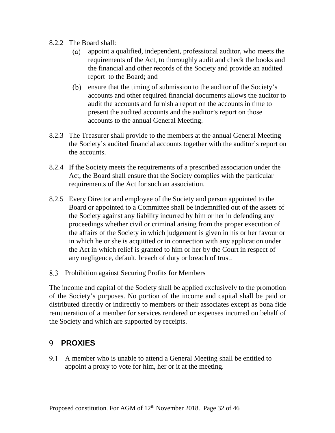- 8.2.2 The Board shall:
	- appoint a qualified, independent, professional auditor, who meets the  $(a)$ requirements of the Act, to thoroughly audit and check the books and the financial and other records of the Society and provide an audited report to the Board; and
	- (b) ensure that the timing of submission to the auditor of the Society's accounts and other required financial documents allows the auditor to audit the accounts and furnish a report on the accounts in time to present the audited accounts and the auditor's report on those accounts to the annual General Meeting.
- 8.2.3 The Treasurer shall provide to the members at the annual General Meeting the Society's audited financial accounts together with the auditor's report on the accounts.
- 8.2.4 If the Society meets the requirements of a prescribed association under the Act, the Board shall ensure that the Society complies with the particular requirements of the Act for such an association.
- 8.2.5 Every Director and employee of the Society and person appointed to the Board or appointed to a Committee shall be indemnified out of the assets of the Society against any liability incurred by him or her in defending any proceedings whether civil or criminal arising from the proper execution of the affairs of the Society in which judgement is given in his or her favour or in which he or she is acquitted or in connection with any application under the Act in which relief is granted to him or her by the Court in respect of any negligence, default, breach of duty or breach of trust.
- <span id="page-32-0"></span>8.3 Prohibition against Securing Profits for Members

The income and capital of the Society shall be applied exclusively to the promotion of the Society's purposes. No portion of the income and capital shall be paid or distributed directly or indirectly to members or their associates except as bona fide remuneration of a member for services rendered or expenses incurred on behalf of the Society and which are supported by receipts.

#### <span id="page-32-1"></span>**9 PROXIES**

A member who is unable to attend a General Meeting shall be entitled to appoint a proxy to vote for him, her or it at the meeting.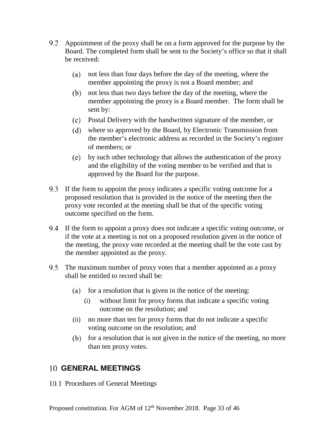- 9.2 Appointment of the proxy shall be on a form approved for the purpose by the Board. The completed form shall be sent to the Society's office so that it shall be received:
	- (a) not less than four days before the day of the meeting, where the member appointing the proxy is not a Board member; and
	- not less than two days before the day of the meeting, where the member appointing the proxy is a Board member. The form shall be sent by:
	- Postal Delivery with the handwritten signature of the member, or
	- where so approved by the Board, by Electronic Transmission from the member's electronic address as recorded in the Society's register of members; or
	- by such other technology that allows the authentication of the proxy and the eligibility of the voting member to be verified and that is approved by the Board for the purpose.
- 9.3 If the form to appoint the proxy indicates a specific voting outcome for a proposed resolution that is provided in the notice of the meeting then the proxy vote recorded at the meeting shall be that of the specific voting outcome specified on the form.
- If the form to appoint a proxy does not indicate a specific voting outcome, or if the vote at a meeting is not on a proposed resolution given in the notice of the meeting, the proxy vote recorded at the meeting shall be the vote cast by the member appointed as the proxy.
- The maximum number of proxy votes that a member appointed as a proxy shall be entitled to record shall be:
	- (a) for a resolution that is given in the notice of the meeting:
		- (i) without limit for proxy forms that indicate a specific voting outcome on the resolution; and
	- (ii) no more than ten for proxy forms that do not indicate a specific voting outcome on the resolution; and
	- $\phi$  for a resolution that is not given in the notice of the meeting, no more than ten proxy votes.

#### <span id="page-33-0"></span>**GENERAL MEETINGS**

<span id="page-33-1"></span>10.1 Procedures of General Meetings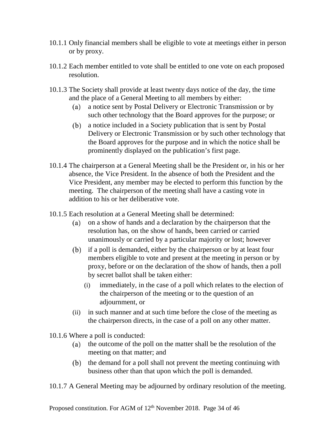- 10.1.1 Only financial members shall be eligible to vote at meetings either in person or by proxy.
- 10.1.2 Each member entitled to vote shall be entitled to one vote on each proposed resolution.
- <span id="page-34-0"></span>10.1.3 The Society shall provide at least twenty days notice of the day, the time and the place of a General Meeting to all members by either:
	- a notice sent by Postal Delivery or Electronic Transmission or by  $(a)$ such other technology that the Board approves for the purpose; or
	- (b) a notice included in a Society publication that is sent by Postal Delivery or Electronic Transmission or by such other technology that the Board approves for the purpose and in which the notice shall be prominently displayed on the publication's first page.
- 10.1.4 The chairperson at a General Meeting shall be the President or, in his or her absence, the Vice President. In the absence of both the President and the Vice President, any member may be elected to perform this function by the meeting. The chairperson of the meeting shall have a casting vote in addition to his or her deliberative vote.
- 10.1.5 Each resolution at a General Meeting shall be determined:
	- on a show of hands and a declaration by the chairperson that the  $(a)$ resolution has, on the show of hands, been carried or carried unanimously or carried by a particular majority or lost; however
	- (b) if a poll is demanded, either by the chairperson or by at least four members eligible to vote and present at the meeting in person or by proxy, before or on the declaration of the show of hands, then a poll by secret ballot shall be taken either:
		- (i) immediately, in the case of a poll which relates to the election of the chairperson of the meeting or to the question of an adjournment, or
	- (ii) in such manner and at such time before the close of the meeting as the chairperson directs, in the case of a poll on any other matter.

10.1.6 Where a poll is conducted:

- (a) the outcome of the poll on the matter shall be the resolution of the meeting on that matter; and
- (b) the demand for a poll shall not prevent the meeting continuing with business other than that upon which the poll is demanded.
- 10.1.7 A General Meeting may be adjourned by ordinary resolution of the meeting.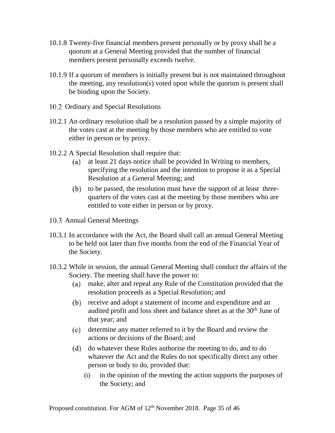- 10.1.8 Twenty-five financial members present personally or by proxy shall be a quorum at a General Meeting provided that the number of financial members present personally exceeds twelve.
- 10.1.9 If a quorum of members is initially present but is not maintained throughout the meeting, any resolution(s) voted upon while the quorum is present shall be binding upon the Society.
- <span id="page-35-0"></span>10.2 Ordinary and Special Resolutions
- 10.2.1 An ordinary resolution shall be a resolution passed by a simple majority of the votes cast at the meeting by those members who are entitled to vote either in person or by proxy.
- 10.2.2 A Special Resolution shall require that:
	- $(a)$ at least 21 days notice shall be provided In Writing to members, specifying the resolution and the intention to propose it as a Special Resolution at a General Meeting; and
	- (b) to be passed, the resolution must have the support of at least threequarters of the votes cast at the meeting by those members who are entitled to vote either in person or by proxy.
- <span id="page-35-1"></span>10.3 Annual General Meetings
- 10.3.1 In accordance with the Act, the Board shall call an annual General Meeting to be held not later than five months from the end of the Financial Year of the Society.
- 10.3.2 While in session, the annual General Meeting shall conduct the affairs of the Society. The meeting shall have the power to:
	- make, alter and repeal any Rule of the Constitution provided that the resolution proceeds as a Special Resolution; and
	- (b) receive and adopt a statement of income and expenditure and an audited profit and loss sheet and balance sheet as at the 30<sup>th</sup> June of that year; and
	- determine any matter referred to it by the Board and review the actions or decisions of the Board; and
	- do whatever these Rules authorise the meeting to do, and to do whatever the Act and the Rules do not specifically direct any other person or body to do, provided that:
		- (i) in the opinion of the meeting the action supports the purposes of the Society; and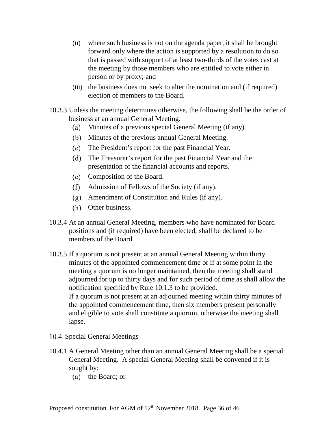- (ii) where such business is not on the agenda paper, it shall be brought forward only where the action is supported by a resolution to do so that is passed with support of at least two-thirds of the votes cast at the meeting by those members who are entitled to vote either in person or by proxy; and
- (iii) the business does not seek to alter the nomination and (if required) election of members to the Board.
- 10.3.3 Unless the meeting determines otherwise, the following shall be the order of business at an annual General Meeting.
	- Minutes of a previous special General Meeting (if any).
	- (b) Minutes of the previous annual General Meeting.
	- The President's report for the past Financial Year.
	- The Treasurer's report for the past Financial Year and the presentation of the financial accounts and reports.
	- Composition of the Board.
	- Admission of Fellows of the Society (if any).
	- Amendment of Constitution and Rules (if any).
	- (h) Other business.
- 10.3.4 At an annual General Meeting, members who have nominated for Board positions and (if required) have been elected, shall be declared to be members of the Board.
- 10.3.5 If a quorum is not present at an annual General Meeting within thirty minutes of the appointed commencement time or if at some point in the meeting a quorum is no longer maintained, then the meeting shall stand adjourned for up to thirty days and for such period of time as shall allow the notification specified by Rule [10.1.3](#page-34-0) to be provided. If a quorum is not present at an adjourned meeting within thirty minutes of the appointed commencement time, then six members present personally and eligible to vote shall constitute a quorum, otherwise the meeting shall lapse.
- <span id="page-36-0"></span>10.4 Special General Meetings
- 10.4.1 A General Meeting other than an annual General Meeting shall be a special General Meeting. A special General Meeting shall be convened if it is sought by:
	- (a) the Board; or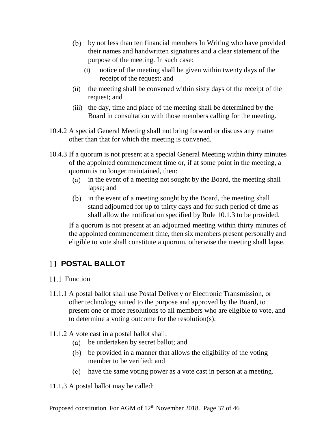- by not less than ten financial members In Writing who have provided their names and handwritten signatures and a clear statement of the purpose of the meeting. In such case:
	- (i) notice of the meeting shall be given within twenty days of the receipt of the request; and
- (ii) the meeting shall be convened within sixty days of the receipt of the request; and
- (iii) the day, time and place of the meeting shall be determined by the Board in consultation with those members calling for the meeting.
- 10.4.2 A special General Meeting shall not bring forward or discuss any matter other than that for which the meeting is convened.
- 10.4.3 If a quorum is not present at a special General Meeting within thirty minutes of the appointed commencement time or, if at some point in the meeting, a quorum is no longer maintained, then:
	- (a) in the event of a meeting not sought by the Board, the meeting shall lapse; and
	- (b) in the event of a meeting sought by the Board, the meeting shall stand adjourned for up to thirty days and for such period of time as shall allow the notification specified by Rule [10.1.3](#page-34-0) to be provided.

If a quorum is not present at an adjourned meeting within thirty minutes of the appointed commencement time, then six members present personally and eligible to vote shall constitute a quorum, otherwise the meeting shall lapse.

### <span id="page-37-0"></span>**POSTAL BALLOT**

- <span id="page-37-1"></span>11.1 Function
- 11.1.1 A postal ballot shall use Postal Delivery or Electronic Transmission, or other technology suited to the purpose and approved by the Board, to present one or more resolutions to all members who are eligible to vote, and to determine a voting outcome for the resolution(s).
- 11.1.2 A vote cast in a postal ballot shall:
	- be undertaken by secret ballot; and
	- be provided in a manner that allows the eligibility of the voting member to be verified; and
	- have the same voting power as a vote cast in person at a meeting.
- 11.1.3 A postal ballot may be called: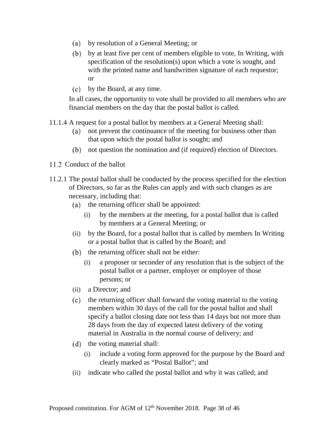- by resolution of a General Meeting; or
- by at least five per cent of members eligible to vote, In Writing, with specification of the resolution(s) upon which a vote is sought, and with the printed name and handwritten signature of each requestor; or
- $(c)$ by the Board, at any time.

In all cases, the opportunity to vote shall be provided to all members who are financial members on the day that the postal ballot is called.

- 11.1.4 A request for a postal ballot by members at a General Meeting shall:
	- $(a)$ not prevent the continuance of the meeting for business other than that upon which the postal ballot is sought; and
	- not question the nomination and (if required) election of Directors.
- <span id="page-38-0"></span>11.2 Conduct of the ballot
- 11.2.1 The postal ballot shall be conducted by the process specified for the election of Directors, so far as the Rules can apply and with such changes as are necessary, including that:
	- $(a)$  the returning officer shall be appointed:
		- (i) by the members at the meeting, for a postal ballot that is called by members at a General Meeting; or
	- (ii) by the Board, for a postal ballot that is called by members In Writing or a postal ballot that is called by the Board; and
	- $(b)$  the returning officer shall not be either:
		- (i) a proposer or seconder of any resolution that is the subject of the postal ballot or a partner, employer or employee of those persons; or
	- (ii) a Director; and
	- (c) the returning officer shall forward the voting material to the voting members within 30 days of the call for the postal ballot and shall specify a ballot closing date not less than 14 days but not more than 28 days from the day of expected latest delivery of the voting material in Australia in the normal course of delivery; and
	- (d) the voting material shall:
		- (i) include a voting form approved for the purpose by the Board and clearly marked as "Postal Ballot"; and
	- (ii) indicate who called the postal ballot and why it was called; and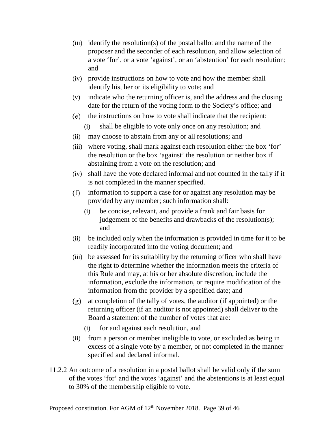- (iii) identify the resolution(s) of the postal ballot and the name of the proposer and the seconder of each resolution, and allow selection of a vote 'for', or a vote 'against', or an 'abstention' for each resolution; and
- (iv) provide instructions on how to vote and how the member shall identify his, her or its eligibility to vote; and
- (v) indicate who the returning officer is, and the address and the closing date for the return of the voting form to the Society's office; and
- $(e)$  the instructions on how to vote shall indicate that the recipient:
	- (i) shall be eligible to vote only once on any resolution; and
- (ii) may choose to abstain from any or all resolutions; and
- (iii) where voting, shall mark against each resolution either the box 'for' the resolution or the box 'against' the resolution or neither box if abstaining from a vote on the resolution; and
- (iv) shall have the vote declared informal and not counted in the tally if it is not completed in the manner specified.
- $(f)$ information to support a case for or against any resolution may be provided by any member; such information shall:
	- (i) be concise, relevant, and provide a frank and fair basis for judgement of the benefits and drawbacks of the resolution(s); and
- (ii) be included only when the information is provided in time for it to be readily incorporated into the voting document; and
- (iii) be assessed for its suitability by the returning officer who shall have the right to determine whether the information meets the criteria of this Rule and may, at his or her absolute discretion, include the information, exclude the information, or require modification of the information from the provider by a specified date; and
- $(g)$  at completion of the tally of votes, the auditor (if appointed) or the returning officer (if an auditor is not appointed) shall deliver to the Board a statement of the number of votes that are:
	- (i) for and against each resolution, and
- (ii) from a person or member ineligible to vote, or excluded as being in excess of a single vote by a member, or not completed in the manner specified and declared informal.
- 11.2.2 An outcome of a resolution in a postal ballot shall be valid only if the sum of the votes 'for' and the votes 'against' and the abstentions is at least equal to 30% of the membership eligible to vote.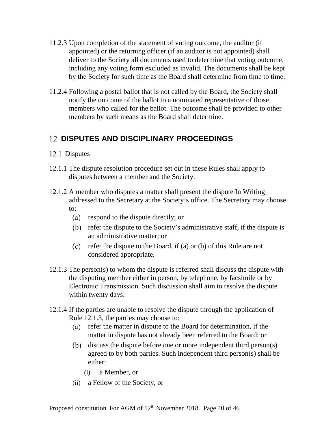- 11.2.3 Upon completion of the statement of voting outcome, the auditor (if appointed) or the returning officer (if an auditor is not appointed) shall deliver to the Society all documents used to determine that voting outcome, including any voting form excluded as invalid. The documents shall be kept by the Society for such time as the Board shall determine from time to time.
- 11.2.4 Following a postal ballot that is not called by the Board, the Society shall notify the outcome of the ballot to a nominated representative of those members who called for the ballot. The outcome shall be provided to other members by such means as the Board shall determine.

#### <span id="page-40-0"></span>**DISPUTES AND DISCIPLINARY PROCEEDINGS**

#### <span id="page-40-1"></span>12.1 Disputes

- 12.1.1 The dispute resolution procedure set out in these Rules shall apply to disputes between a member and the Society.
- 12.1.2 A member who disputes a matter shall present the dispute In Writing addressed to the Secretary at the Society's office. The Secretary may choose to:
	- respond to the dispute directly; or
	- refer the dispute to the Society's administrative staff, if the dispute is an administrative matter; or
	- (c) refer the dispute to the Board, if (a) or (b) of this Rule are not considered appropriate.
- <span id="page-40-2"></span>12.1.3 The person(s) to whom the dispute is referred shall discuss the dispute with the disputing member either in person, by telephone, by facsimile or by Electronic Transmission. Such discussion shall aim to resolve the dispute within twenty days.
- <span id="page-40-3"></span>12.1.4 If the parties are unable to resolve the dispute through the application of Rule [12.1.3,](#page-40-2) the parties may choose to:
	- (a) refer the matter in dispute to the Board for determination, if the matter in dispute has not already been referred to the Board; or
	- discuss the dispute before one or more independent third person(s) (b) agreed to by both parties. Such independent third person(s) shall be either:
		- (i) a Member, or
	- (ii) a Fellow of the Society, or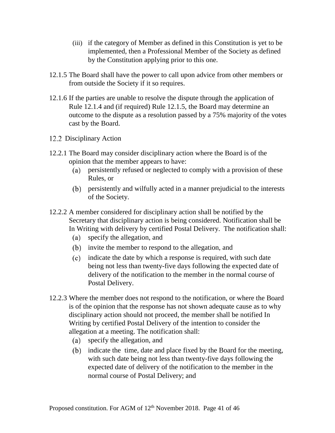- (iii) if the category of Member as defined in this Constitution is yet to be implemented, then a Professional Member of the Society as defined by the Constitution applying prior to this one.
- <span id="page-41-1"></span>12.1.5 The Board shall have the power to call upon advice from other members or from outside the Society if it so requires.
- 12.1.6 If the parties are unable to resolve the dispute through the application of Rule [12.1.4](#page-40-3) and (if required) Rule [12.1.5,](#page-41-1) the Board may determine an outcome to the dispute as a resolution passed by a 75% majority of the votes cast by the Board.
- <span id="page-41-0"></span>12.2 Disciplinary Action
- 12.2.1 The Board may consider disciplinary action where the Board is of the opinion that the member appears to have:
	- persistently refused or neglected to comply with a provision of these Rules, or
	- persistently and wilfully acted in a manner prejudicial to the interests of the Society.
- 12.2.2 A member considered for disciplinary action shall be notified by the Secretary that disciplinary action is being considered. Notification shall be In Writing with delivery by certified Postal Delivery. The notification shall:
	- specify the allegation, and
	- (b) invite the member to respond to the allegation, and
	- indicate the date by which a response is required, with such date being not less than twenty-five days following the expected date of delivery of the notification to the member in the normal course of Postal Delivery.
- 12.2.3 Where the member does not respond to the notification, or where the Board is of the opinion that the response has not shown adequate cause as to why disciplinary action should not proceed, the member shall be notified In Writing by certified Postal Delivery of the intention to consider the allegation at a meeting. The notification shall:
	- specify the allegation, and
	- (b) indicate the time, date and place fixed by the Board for the meeting, with such date being not less than twenty-five days following the expected date of delivery of the notification to the member in the normal course of Postal Delivery; and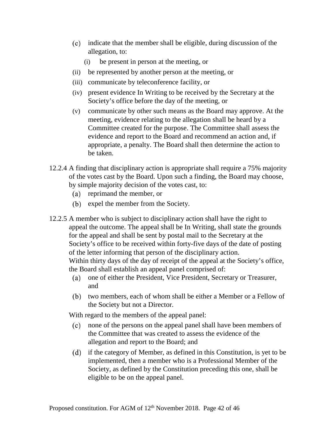- indicate that the member shall be eligible, during discussion of the allegation, to:
	- (i) be present in person at the meeting, or
- (ii) be represented by another person at the meeting, or
- (iii) communicate by teleconference facility, or
- (iv) present evidence In Writing to be received by the Secretary at the Society's office before the day of the meeting, or
- (v) communicate by other such means as the Board may approve. At the meeting, evidence relating to the allegation shall be heard by a Committee created for the purpose. The Committee shall assess the evidence and report to the Board and recommend an action and, if appropriate, a penalty. The Board shall then determine the action to be taken.
- 12.2.4 A finding that disciplinary action is appropriate shall require a 75% majority of the votes cast by the Board. Upon such a finding, the Board may choose, by simple majority decision of the votes cast, to:
	- (a) reprimand the member, or
	- (b) expel the member from the Society.
- 12.2.5 A member who is subject to disciplinary action shall have the right to appeal the outcome. The appeal shall be In Writing, shall state the grounds for the appeal and shall be sent by postal mail to the Secretary at the Society's office to be received within forty-five days of the date of posting of the letter informing that person of the disciplinary action. Within thirty days of the day of receipt of the appeal at the Society's office, the Board shall establish an appeal panel comprised of:
	- one of either the President, Vice President, Secretary or Treasurer,  $(a)$ and
	- (b) two members, each of whom shall be either a Member or a Fellow of the Society but not a Director.

With regard to the members of the appeal panel:

- none of the persons on the appeal panel shall have been members of the Committee that was created to assess the evidence of the allegation and report to the Board; and
- $\delta$  if the category of Member, as defined in this Constitution, is yet to be implemented, then a member who is a Professional Member of the Society, as defined by the Constitution preceding this one, shall be eligible to be on the appeal panel.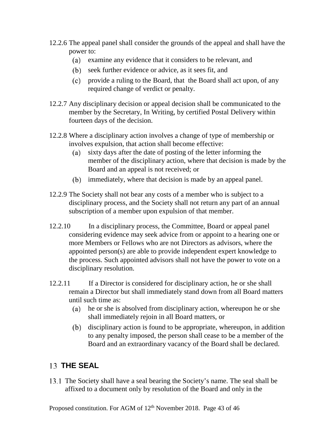- 12.2.6 The appeal panel shall consider the grounds of the appeal and shall have the power to:
	- examine any evidence that it considers to be relevant, and
	- (b) seek further evidence or advice, as it sees fit, and
	- provide a ruling to the Board, that the Board shall act upon, of any required change of verdict or penalty.
- 12.2.7 Any disciplinary decision or appeal decision shall be communicated to the member by the Secretary, In Writing, by certified Postal Delivery within fourteen days of the decision.
- 12.2.8 Where a disciplinary action involves a change of type of membership or involves expulsion, that action shall become effective:
	- $(a)$ sixty days after the date of posting of the letter informing the member of the disciplinary action, where that decision is made by the Board and an appeal is not received; or
	- (b) immediately, where that decision is made by an appeal panel.
- 12.2.9 The Society shall not bear any costs of a member who is subject to a disciplinary process, and the Society shall not return any part of an annual subscription of a member upon expulsion of that member.
- 12.2.10 In a disciplinary process, the Committee, Board or appeal panel considering evidence may seek advice from or appoint to a hearing one or more Members or Fellows who are not Directors as advisors, where the appointed person(s) are able to provide independent expert knowledge to the process. Such appointed advisors shall not have the power to vote on a disciplinary resolution.
- 12.2.11 If a Director is considered for disciplinary action, he or she shall remain a Director but shall immediately stand down from all Board matters until such time as:
	- he or she is absolved from disciplinary action, whereupon he or she shall immediately rejoin in all Board matters, or
	- (b) disciplinary action is found to be appropriate, whereupon, in addition to any penalty imposed, the person shall cease to be a member of the Board and an extraordinary vacancy of the Board shall be declared.

#### <span id="page-43-0"></span>13 **THE SEAL**

The Society shall have a seal bearing the Society's name. The seal shall be affixed to a document only by resolution of the Board and only in the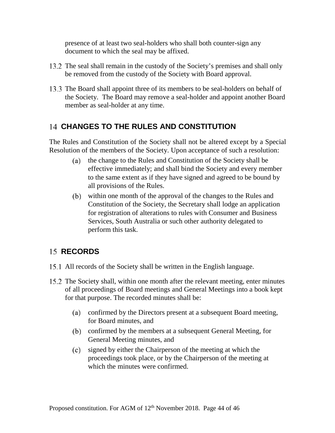presence of at least two seal-holders who shall both counter-sign any document to which the seal may be affixed.

- 13.2 The seal shall remain in the custody of the Society's premises and shall only be removed from the custody of the Society with Board approval.
- 13.3 The Board shall appoint three of its members to be seal-holders on behalf of the Society. The Board may remove a seal-holder and appoint another Board member as seal-holder at any time.

#### <span id="page-44-0"></span>**CHANGES TO THE RULES AND CONSTITUTION**

The Rules and Constitution of the Society shall not be altered except by a Special Resolution of the members of the Society. Upon acceptance of such a resolution:

- (a) the change to the Rules and Constitution of the Society shall be effective immediately; and shall bind the Society and every member to the same extent as if they have signed and agreed to be bound by all provisions of the Rules.
- within one month of the approval of the changes to the Rules and Constitution of the Society, the Secretary shall lodge an application for registration of alterations to rules with Consumer and Business Services, South Australia or such other authority delegated to perform this task.

### <span id="page-44-1"></span>15 **RECORDS**

- 15.1 All records of the Society shall be written in the English language.
- 15.2 The Society shall, within one month after the relevant meeting, enter minutes of all proceedings of Board meetings and General Meetings into a book kept for that purpose. The recorded minutes shall be:
	- confirmed by the Directors present at a subsequent Board meeting, for Board minutes, and
	- confirmed by the members at a subsequent General Meeting, for General Meeting minutes, and
	- signed by either the Chairperson of the meeting at which the  $(c)$ proceedings took place, or by the Chairperson of the meeting at which the minutes were confirmed.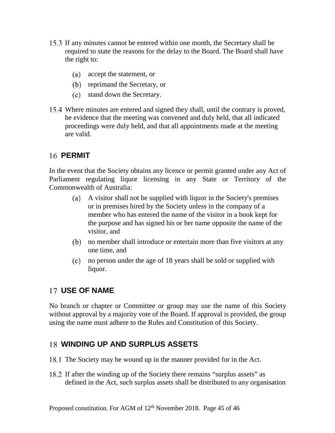- If any minutes cannot be entered within one month, the Secretary shall be required to state the reasons for the delay to the Board. The Board shall have the right to:
	- accept the statement, or
	- (b) reprimand the Secretary, or
	- stand down the Secretary.
- Where minutes are entered and signed they shall, until the contrary is proved, be evidence that the meeting was convened and duly held, that all indicated proceedings were duly held, and that all appointments made at the meeting are valid.

#### <span id="page-45-0"></span>**16 PERMIT**

In the event that the Society obtains any licence or permit granted under any Act of Parliament regulating liquor licensing in any State or Territory of the Commonwealth of Australia:

- A visitor shall not be supplied with liquor in the Society's premises or in premises hired by the Society unless in the company of a member who has entered the name of the visitor in a book kept for the purpose and has signed his or her name opposite the name of the visitor, and
- no member shall introduce or entertain more than five visitors at any one time, and
- no person under the age of 18 years shall be sold or supplied with liquor.

#### <span id="page-45-1"></span>**USE OF NAME**

No branch or chapter or Committee or group may use the name of this Society without approval by a majority vote of the Board. If approval is provided, the group using the name must adhere to the Rules and Constitution of this Society.

#### <span id="page-45-2"></span>**WINDING UP AND SURPLUS ASSETS**

- 18.1 The Society may be wound up in the manner provided for in the Act.
- If after the winding up of the Society there remains "surplus assets" as defined in the Act, such surplus assets shall be distributed to any organisation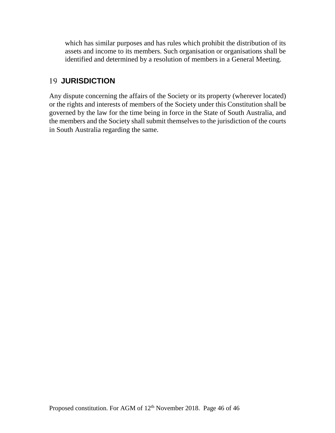which has similar purposes and has rules which prohibit the distribution of its assets and income to its members. Such organisation or organisations shall be identified and determined by a resolution of members in a General Meeting.

#### <span id="page-46-0"></span>**JURISDICTION**

Any dispute concerning the affairs of the Society or its property (wherever located) or the rights and interests of members of the Society under this Constitution shall be governed by the law for the time being in force in the State of South Australia, and the members and the Society shall submit themselves to the jurisdiction of the courts in South Australia regarding the same.